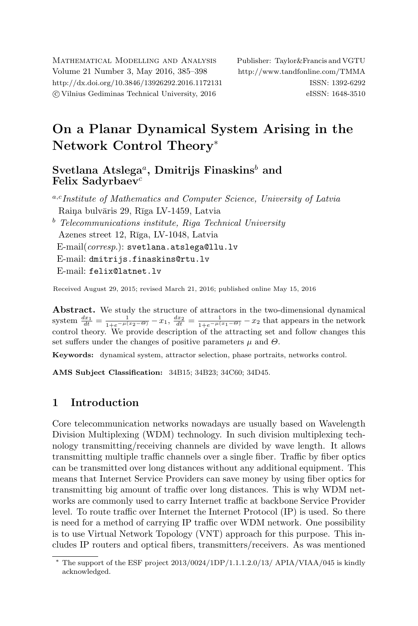Mathematical Modelling and Analysis Publisher: Taylor&Francis and VGTU Volume 21 Number 3, May 2016, 385–398 <http://www.tandfonline.com/TMMA> <http://dx.doi.org/10.3846/13926292.2016.1172131> ISSN: 1392-6292 c Vilnius Gediminas Technical University, 2016 eISSN: 1648-3510

# On a Planar Dynamical System Arising in the Network Control Theory<sup>∗</sup>

# $S$ vetlana  $\rm Atslega^a,\,Dmitrijs\ Finaskins^b$  and Felix Sadyrbaev<sup>c</sup>

a,cInstitute of Mathematics and Computer Science, University of Latvia Raina bulvāris 29, Rīga LV-1459, Latvia

 $b$  Telecommunications institute, Riga Technical University Azenes street 12, Rīga, LV-1048, Latvia E-mail(corresp.): [svetlana.atslega@llu.lv](mailto:svetlana.atslega@llu.lv) E-mail: [dmitrijs.finaskins@rtu.lv](mailto:dmitrijs.finaskins@rtu.lv) E-mail: [felix@latnet.lv](mailto:felix@latnet.lv)

Received August 29, 2015; revised March 21, 2016; published online May 15, 2016

Abstract. We study the structure of attractors in the two-dimensional dynamical system  $\frac{dx_1}{dt} = \frac{1}{1+e^{-\mu(x_2-\Theta)}} - x_1$ ,  $\frac{dx_2}{dt} = \frac{1}{1+e^{-\mu(x_1-\Theta)}} - x_2$  that appears in the network control theory. We provide description of the attracting set and follow changes this set suffers under the changes of positive parameters  $\mu$  and  $\Theta$ .

Keywords: dynamical system, attractor selection, phase portraits, networks control.

AMS Subject Classification: 34B15; 34B23; 34C60; 34D45.

# 1 Introduction

Core telecommunication networks nowadays are usually based on Wavelength Division Multiplexing (WDM) technology. In such division multiplexing technology transmitting/receiving channels are divided by wave length. It allows transmitting multiple traffic channels over a single fiber. Traffic by fiber optics can be transmitted over long distances without any additional equipment. This means that Internet Service Providers can save money by using fiber optics for transmitting big amount of traffic over long distances. This is why WDM networks are commonly used to carry Internet traffic at backbone Service Provider level. To route traffic over Internet the Internet Protocol (IP) is used. So there is need for a method of carrying IP traffic over WDM network. One possibility is to use Virtual Network Topology (VNT) approach for this purpose. This includes IP routers and optical fibers, transmitters/receivers. As was mentioned

<sup>∗</sup> The support of the ESF project 2013/0024/1DP/1.1.1.2.0/13/ APIA/VIAA/045 is kindly acknowledged.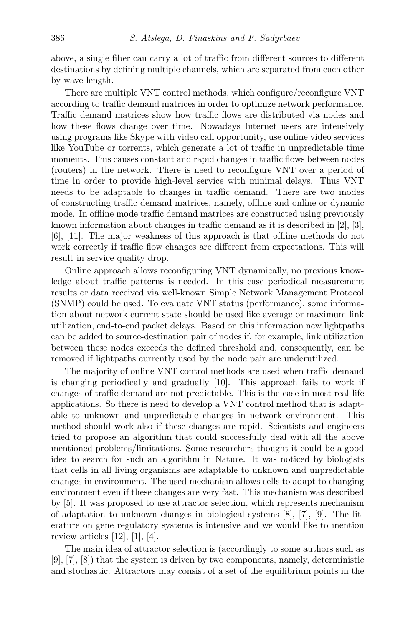above, a single fiber can carry a lot of traffic from different sources to different destinations by defining multiple channels, which are separated from each other by wave length.

There are multiple VNT control methods, which configure/reconfigure VNT according to traffic demand matrices in order to optimize network performance. Traffic demand matrices show how traffic flows are distributed via nodes and how these flows change over time. Nowadays Internet users are intensively using programs like Skype with video call opportunity, use online video services like YouTube or torrents, which generate a lot of traffic in unpredictable time moments. This causes constant and rapid changes in traffic flows between nodes (routers) in the network. There is need to reconfigure VNT over a period of time in order to provide high-level service with minimal delays. Thus VNT needs to be adaptable to changes in traffic demand. There are two modes of constructing traffic demand matrices, namely, offline and online or dynamic mode. In offline mode traffic demand matrices are constructed using previously known information about changes in traffic demand as it is described in [\[2\]](#page-13-0), [\[3\]](#page-13-1), [\[6\]](#page-13-2), [\[11\]](#page-13-3). The major weakness of this approach is that offline methods do not work correctly if traffic flow changes are different from expectations. This will result in service quality drop.

Online approach allows reconfiguring VNT dynamically, no previous knowledge about traffic patterns is needed. In this case periodical measurement results or data received via well-known Simple Network Management Protocol (SNMP) could be used. To evaluate VNT status (performance), some information about network current state should be used like average or maximum link utilization, end-to-end packet delays. Based on this information new lightpaths can be added to source-destination pair of nodes if, for example, link utilization between these nodes exceeds the defined threshold and, consequently, can be removed if lightpaths currently used by the node pair are underutilized.

The majority of online VNT control methods are used when traffic demand is changing periodically and gradually [\[10\]](#page-13-4). This approach fails to work if changes of traffic demand are not predictable. This is the case in most real-life applications. So there is need to develop a VNT control method that is adaptable to unknown and unpredictable changes in network environment. This method should work also if these changes are rapid. Scientists and engineers tried to propose an algorithm that could successfully deal with all the above mentioned problems/limitations. Some researchers thought it could be a good idea to search for such an algorithm in Nature. It was noticed by biologists that cells in all living organisms are adaptable to unknown and unpredictable changes in environment. The used mechanism allows cells to adapt to changing environment even if these changes are very fast. This mechanism was described by [\[5\]](#page-13-5). It was proposed to use attractor selection, which represents mechanism of adaptation to unknown changes in biological systems [\[8\]](#page-13-6), [\[7\]](#page-13-7), [\[9\]](#page-13-8). The literature on gene regulatory systems is intensive and we would like to mention review articles  $[12]$ ,  $[1]$ ,  $[4]$ .

The main idea of attractor selection is (accordingly to some authors such as [\[9\]](#page-13-8), [\[7\]](#page-13-7), [\[8\]](#page-13-6)) that the system is driven by two components, namely, deterministic and stochastic. Attractors may consist of a set of the equilibrium points in the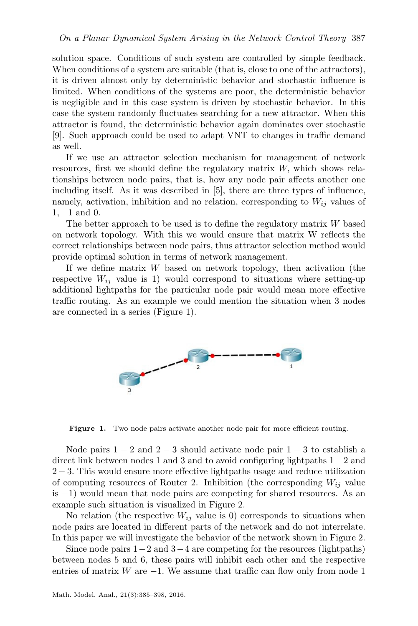solution space. Conditions of such system are controlled by simple feedback. When conditions of a system are suitable (that is, close to one of the attractors), it is driven almost only by deterministic behavior and stochastic influence is limited. When conditions of the systems are poor, the deterministic behavior is negligible and in this case system is driven by stochastic behavior. In this case the system randomly fluctuates searching for a new attractor. When this attractor is found, the deterministic behavior again dominates over stochastic [\[9\]](#page-13-8). Such approach could be used to adapt VNT to changes in traffic demand as well.

If we use an attractor selection mechanism for management of network resources, first we should define the regulatory matrix W, which shows relationships between node pairs, that is, how any node pair affects another one including itself. As it was described in [\[5\]](#page-13-5), there are three types of influence, namely, activation, inhibition and no relation, corresponding to  $W_{ij}$  values of 1, −1 and 0.

The better approach to be used is to define the regulatory matrix W based on network topology. With this we would ensure that matrix W reflects the correct relationships between node pairs, thus attractor selection method would provide optimal solution in terms of network management.

If we define matrix  $W$  based on network topology, then activation (the respective  $W_{ij}$  value is 1) would correspond to situations where setting-up additional lightpaths for the particular node pair would mean more effective traffic routing. As an example we could mention the situation when 3 nodes are connected in a series (Figure [1\)](#page-2-0).

<span id="page-2-0"></span>

Figure 1. Two node pairs activate another node pair for more efficient routing.

Node pairs  $1-2$  and  $2-3$  should activate node pair  $1-3$  to establish a direct link between nodes 1 and 3 and to avoid configuring lightpaths 1 −2 and 2 − 3. This would ensure more effective lightpaths usage and reduce utilization of computing resources of Router 2. Inhibition (the corresponding  $W_{ij}$  value is −1) would mean that node pairs are competing for shared resources. As an example such situation is visualized in Figure [2.](#page-3-0)

No relation (the respective  $W_{ij}$  value is 0) corresponds to situations when node pairs are located in different parts of the network and do not interrelate. In this paper we will investigate the behavior of the network shown in Figure [2.](#page-3-0)

Since node pairs  $1-2$  and  $3-4$  are competing for the resources (lightpaths) between nodes 5 and 6, these pairs will inhibit each other and the respective entries of matrix W are  $-1$ . We assume that traffic can flow only from node 1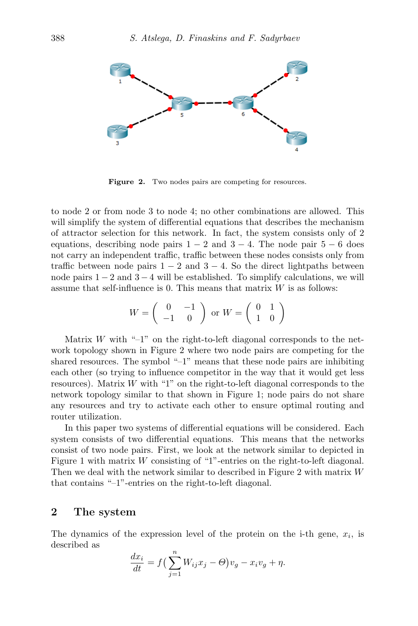<span id="page-3-0"></span>

Figure 2. Two nodes pairs are competing for resources.

to node 2 or from node 3 to node 4; no other combinations are allowed. This will simplify the system of differential equations that describes the mechanism of attractor selection for this network. In fact, the system consists only of 2 equations, describing node pairs  $1 - 2$  and  $3 - 4$ . The node pair  $5 - 6$  does not carry an independent traffic, traffic between these nodes consists only from traffic between node pairs  $1 - 2$  and  $3 - 4$ . So the direct lightpaths between node pairs  $1 - 2$  and  $3 - 4$  will be established. To simplify calculations, we will assume that self-influence is 0. This means that matrix  $W$  is as follows:

$$
W = \left(\begin{array}{cc} 0 & -1 \\ -1 & 0 \end{array}\right) \text{ or } W = \left(\begin{array}{cc} 0 & 1 \\ 1 & 0 \end{array}\right)
$$

Matrix W with " $-1$ " on the right-to-left diagonal corresponds to the network topology shown in Figure [2](#page-3-0) where two node pairs are competing for the shared resources. The symbol "–1" means that these node pairs are inhibiting each other (so trying to influence competitor in the way that it would get less resources). Matrix  $W$  with "1" on the right-to-left diagonal corresponds to the network topology similar to that shown in Figure [1;](#page-2-0) node pairs do not share any resources and try to activate each other to ensure optimal routing and router utilization.

In this paper two systems of differential equations will be considered. Each system consists of two differential equations. This means that the networks consist of two node pairs. First, we look at the network similar to depicted in Figure [1](#page-2-0) with matrix W consisting of "1"-entries on the right-to-left diagonal. Then we deal with the network similar to described in Figure [2](#page-3-0) with matrix W that contains "–1"-entries on the right-to-left diagonal.

## 2 The system

The dynamics of the expression level of the protein on the i-th gene,  $x_i$ , is described as

$$
\frac{dx_i}{dt} = f\left(\sum_{j=1}^n W_{ij}x_j - \Theta\right)v_g - x_i v_g + \eta.
$$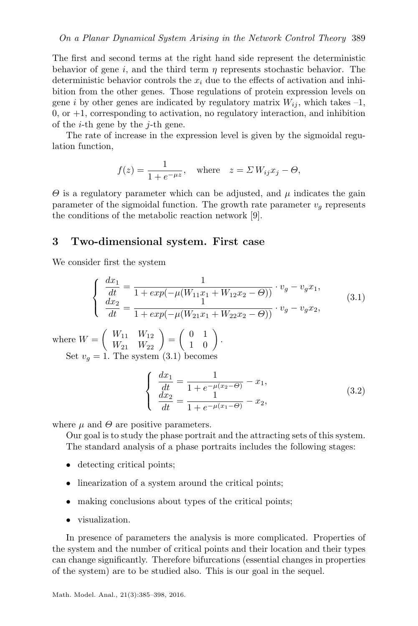The first and second terms at the right hand side represent the deterministic behavior of gene i, and the third term  $\eta$  represents stochastic behavior. The deterministic behavior controls the  $x_i$  due to the effects of activation and inhibition from the other genes. Those regulations of protein expression levels on gene i by other genes are indicated by regulatory matrix  $W_{ij}$ , which takes  $-1$ ,  $0,$  or  $+1$ , corresponding to activation, no regulatory interaction, and inhibition of the *i*-th gene by the *j*-th gene.

The rate of increase in the expression level is given by the sigmoidal regulation function,

$$
f(z) = \frac{1}{1 + e^{-\mu z}}, \quad \text{where} \quad z = \Sigma W_{ij} x_j - \Theta,
$$

 $\Theta$  is a regulatory parameter which can be adjusted, and  $\mu$  indicates the gain parameter of the sigmoidal function. The growth rate parameter  $v_q$  represents the conditions of the metabolic reaction network [\[9\]](#page-13-8).

## 3 Two-dimensional system. First case

We consider first the system

<span id="page-4-0"></span>
$$
\begin{cases}\n\frac{dx_1}{dt} = \frac{1}{1 + exp(-\mu(W_{11}x_1 + W_{12}x_2 - \Theta))} \cdot v_g - v_g x_1, \\
\frac{dx_2}{dt} = \frac{1}{1 + exp(-\mu(W_{21}x_1 + W_{22}x_2 - \Theta))} \cdot v_g - v_g x_2,\n\end{cases}
$$
\n(3.1)

where  $W = \begin{pmatrix} W_{11} & W_{12} \\ W_{21} & W_{22} \end{pmatrix} = \begin{pmatrix} 0 & 1 \\ 1 & 0 \end{pmatrix}$ . Set  $v_q = 1$ . The system [\(3.1\)](#page-4-0) becomes

<span id="page-4-1"></span>
$$
\begin{cases}\n\frac{dx_1}{dt} = \frac{1}{1 + e^{-\mu(x_2 - \Theta)}} - x_1, \\
\frac{dx_2}{dt} = \frac{1}{1 + e^{-\mu(x_1 - \Theta)}} - x_2,\n\end{cases}
$$
\n(3.2)

where  $\mu$  and  $\Theta$  are positive parameters.

Our goal is to study the phase portrait and the attracting sets of this system. The standard analysis of a phase portraits includes the following stages:

- detecting critical points;
- linearization of a system around the critical points;
- making conclusions about types of the critical points;
- visualization.

In presence of parameters the analysis is more complicated. Properties of the system and the number of critical points and their location and their types can change significantly. Therefore bifurcations (essential changes in properties of the system) are to be studied also. This is our goal in the sequel.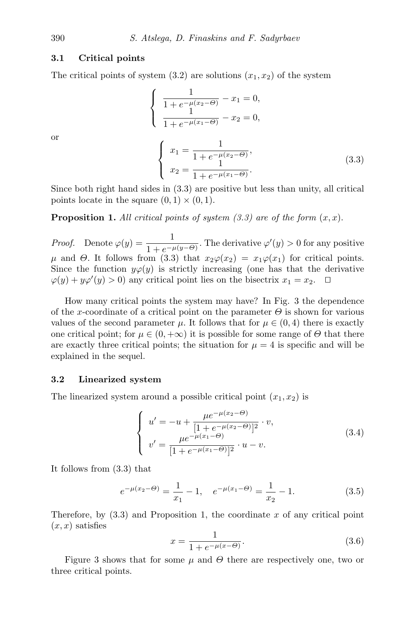### 3.1 Critical points

The critical points of system  $(3.2)$  are solutions  $(x_1, x_2)$  of the system

$$
\begin{cases}\n\frac{1}{1 + e^{-\mu(x_2 - \Theta)}} - x_1 = 0, \\
\frac{1}{1 + e^{-\mu(x_1 - \Theta)}} - x_2 = 0, \\
x_1 = \frac{1}{1 + e^{-\mu(x_2 - \Theta)}}, \\
x_2 = \frac{1}{1 + e^{-\mu(x_1 - \Theta)}}.\n\end{cases}
$$
\n(3.3)

<span id="page-5-0"></span>or

Since both right hand sides in [\(3.3\)](#page-5-0) are positive but less than unity, all critical points locate in the square  $(0, 1) \times (0, 1)$ .

<span id="page-5-1"></span>**Proposition 1.** All critical points of system  $(3.3)$  are of the form  $(x, x)$ .

*Proof.* Denote  $\varphi(y) = \frac{1}{1 + e^{-\mu(y-\Theta)}}$ . The derivative  $\varphi'(y) > 0$  for any positive  $\mu$  and  $\Theta$ . It follows from [\(3.3\)](#page-5-0) that  $x_2\varphi(x_2) = x_1\varphi(x_1)$  for critical points. Since the function  $y\varphi(y)$  is strictly increasing (one has that the derivative  $\varphi(y) + y\varphi'(y) > 0$  any critical point lies on the bisectrix  $x_1 = x_2$ .  $\Box$ 

How many critical points the system may have? In Fig. [3](#page-6-0) the dependence of the x-coordinate of a critical point on the parameter  $\Theta$  is shown for various values of the second parameter  $\mu$ . It follows that for  $\mu \in (0, 4)$  there is exactly one critical point; for  $\mu \in (0, +\infty)$  it is possible for some range of  $\Theta$  that there are exactly three critical points; the situation for  $\mu = 4$  is specific and will be explained in the sequel.

### 3.2 Linearized system

The linearized system around a possible critical point  $(x_1, x_2)$  is

<span id="page-5-4"></span>
$$
\begin{cases}\nu' = -u + \frac{\mu e^{-\mu(x_2 - \Theta)}}{[1 + e^{-\mu(x_2 - \Theta)}]^2} \cdot v, \\
v' = \frac{\mu e^{-\mu(x_1 - \Theta)}}{[1 + e^{-\mu(x_1 - \Theta)}]^2} \cdot u - v.\n\end{cases} \tag{3.4}
$$

It follows from [\(3.3\)](#page-5-0) that

<span id="page-5-3"></span><span id="page-5-2"></span>
$$
e^{-\mu(x_2-\Theta)} = \frac{1}{x_1} - 1, \quad e^{-\mu(x_1-\Theta)} = \frac{1}{x_2} - 1.
$$
 (3.5)

Therefore, by  $(3.3)$  and Proposition [1,](#page-5-1) the coordinate x of any critical point  $(x, x)$  satisfies

$$
x = \frac{1}{1 + e^{-\mu(x - \Theta)}}.
$$
\n(3.6)

Figure [3](#page-6-0) shows that for some  $\mu$  and  $\Theta$  there are respectively one, two or three critical points.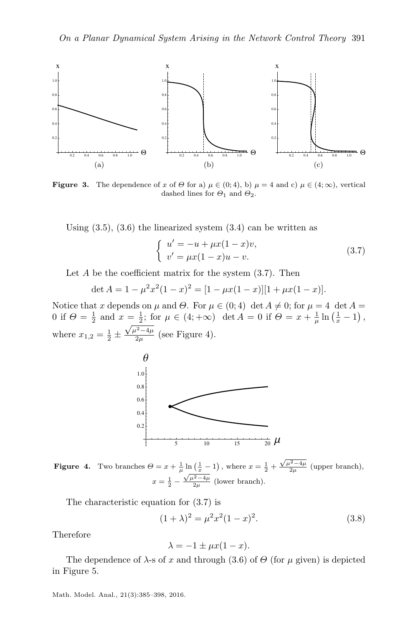<span id="page-6-0"></span>

**Figure 3.** The dependence of x of  $\Theta$  for a)  $\mu \in (0, 4)$ , b)  $\mu = 4$  and c)  $\mu \in (4, \infty)$ , vertical dashed lines for  $\Theta_1$  and  $\Theta_2$ .

Using  $(3.5)$ ,  $(3.6)$  the linearized system  $(3.4)$  can be written as

<span id="page-6-1"></span>
$$
\begin{cases}\nu' = -u + \mu x (1 - x) v, \\
v' = \mu x (1 - x) u - v.\n\end{cases} \tag{3.7}
$$

Let  $A$  be the coefficient matrix for the system  $(3.7)$ . Then

$$
\det A = 1 - \mu^2 x^2 (1 - x)^2 = [1 - \mu x (1 - x)][1 + \mu x (1 - x)].
$$

<span id="page-6-2"></span>Notice that x depends on  $\mu$  and  $\Theta$ . For  $\mu \in (0, 4)$  det  $A \neq 0$ ; for  $\mu = 4$  det  $A =$ 0 if  $\Theta = \frac{1}{2}$  and  $x = \frac{1}{2}$ ; for  $\mu \in (4; +\infty)$  det  $A = 0$  if  $\Theta = x + \frac{1}{\mu} \ln(\frac{1}{x} - 1)$ , where  $x_{1,2} = \frac{1}{2} \pm \frac{1}{2}$  $\sqrt{\mu^2-4\mu}$  $rac{1}{2\mu}$  (see Figure [4\)](#page-6-2).



**Figure 4.** Two branches  $\Theta = x + \frac{1}{\mu} \ln \left( \frac{1}{x} - 1 \right)$ , where  $x = \frac{1}{2} + \frac{1}{2}$  $\frac{\sqrt{\mu^2-4\mu}}{2\mu}$  (upper branch),  $x = \frac{1}{2}$  –  $\frac{\sqrt{\mu^2-4\mu}}{2\mu}$  (lower branch).

The characteristic equation for [\(3.7\)](#page-6-1) is

<span id="page-6-3"></span>
$$
(1 + \lambda)^2 = \mu^2 x^2 (1 - x)^2.
$$
 (3.8)

Therefore

$$
\lambda = -1 \pm \mu x (1 - x).
$$

The dependence of  $\lambda$ -s of x and through [\(3.6\)](#page-5-3) of  $\Theta$  (for  $\mu$  given) is depicted in Figure [5.](#page-7-0)

Math. Model. Anal., 21(3):385–398, 2016.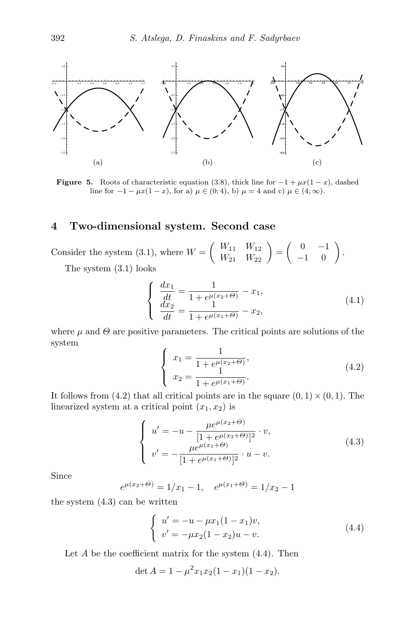<span id="page-7-0"></span>

Figure 5. Roots of characteristic equation [\(3.8\)](#page-6-3), thick line for  $-1 + \mu x(1 - x)$ , dashed line for  $-1 - \mu x(1-x)$ , for a)  $\mu \in (0, 4)$ , b)  $\mu = 4$  and c)  $\mu \in (4, \infty)$ .

## 4 Two-dimensional system. Second case

Consider the system [\(3.1\)](#page-4-0), where  $W = \begin{pmatrix} W_{11} & W_{12} \\ W_{21} & W_{22} \end{pmatrix} = \begin{pmatrix} 0 & -1 \\ -1 & 0 \end{pmatrix}$ .

The system [\(3.1\)](#page-4-0) looks

<span id="page-7-4"></span>
$$
\begin{cases}\n\frac{dx_1}{dt} = \frac{1}{1 + e^{\mu(x_2 + \Theta)}} - x_1, \\
\frac{dx_2}{dt} = \frac{1}{1 + e^{\mu(x_1 + \Theta)}} - x_2,\n\end{cases}
$$
\n(4.1)

<span id="page-7-1"></span>where  $\mu$  and  $\Theta$  are positive parameters. The critical points are solutions of the system

<span id="page-7-2"></span>
$$
\begin{cases}\nx_1 = \frac{1}{1 + e^{\mu(x_2 + \Theta)}}, \\
x_2 = \frac{1}{1 + e^{\mu(x_1 + \Theta)}}.\n\end{cases}
$$
\n(4.2)

It follows from [\(4.2\)](#page-7-1) that all critical points are in the square  $(0, 1) \times (0, 1)$ . The linearized system at a critical point  $(x_1, x_2)$  is

$$
\begin{cases}\nu' = -u - \frac{\mu e^{\mu(x_2 + \Theta)}}{[1 + e^{\mu(x_2 + \Theta)}]^2} \cdot v, \\
v' = -\frac{\mu e^{\mu(x_1 + \Theta)}}{[1 + e^{\mu(x_1 + \Theta)}]^2} \cdot u - v.\n\end{cases} \tag{4.3}
$$

Since

$$
e^{\mu(x_2+\Theta)} = 1/x_1 - 1
$$
,  $e^{\mu(x_1+\Theta)} = 1/x_2 - 1$ 

the system [\(4.3\)](#page-7-2) can be written

<span id="page-7-3"></span>
$$
\begin{cases}\nu' = -u - \mu x_1 (1 - x_1) v, \\
v' = -\mu x_2 (1 - x_2) u - v.\n\end{cases}
$$
\n(4.4)

Let  $A$  be the coefficient matrix for the system  $(4.4)$ . Then

$$
\det A = 1 - \mu^2 x_1 x_2 (1 - x_1)(1 - x_2).
$$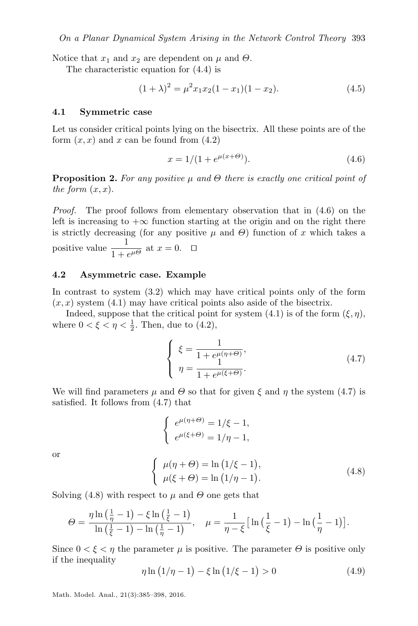Notice that  $x_1$  and  $x_2$  are dependent on  $\mu$  and  $\Theta$ .

The characteristic equation for [\(4.4\)](#page-7-3) is

<span id="page-8-5"></span>
$$
(1 + \lambda)^2 = \mu^2 x_1 x_2 (1 - x_1)(1 - x_2). \tag{4.5}
$$

#### 4.1 Symmetric case

Let us consider critical points lying on the bisectrix. All these points are of the form  $(x, x)$  and x can be found from  $(4.2)$ 

<span id="page-8-0"></span>
$$
x = 1/(1 + e^{\mu(x+\Theta)}).
$$
 (4.6)

**Proposition 2.** For any positive  $\mu$  and  $\Theta$  there is exactly one critical point of the form  $(x, x)$ .

Proof. The proof follows from elementary observation that in [\(4.6\)](#page-8-0) on the left is increasing to  $+\infty$  function starting at the origin and on the right there is strictly decreasing (for any positive  $\mu$  and  $\Theta$ ) function of x which takes a positive value  $\frac{1}{1+e^{\mu\Theta}}$  at  $x=0$ .  $\Box$ 

## <span id="page-8-4"></span>4.2 Asymmetric case. Example

In contrast to system [\(3.2\)](#page-4-1) which may have critical points only of the form  $(x, x)$  system [\(4.1\)](#page-7-4) may have critical points also aside of the bisectrix.

Indeed, suppose that the critical point for system [\(4.1\)](#page-7-4) is of the form  $(\xi, \eta)$ , where  $0 < \xi < \eta < \frac{1}{2}$ . Then, due to [\(4.2\)](#page-7-1),

<span id="page-8-1"></span>
$$
\begin{cases}\n\xi = \frac{1}{1 + e^{\mu(\eta + \Theta)}}, \\
\eta = \frac{1}{1 + e^{\mu(\xi + \Theta)}}.\n\end{cases}
$$
\n(4.7)

We will find parameters  $\mu$  and  $\Theta$  so that for given  $\xi$  and  $\eta$  the system [\(4.7\)](#page-8-1) is satisfied. It follows from [\(4.7\)](#page-8-1) that

$$
\begin{cases}\ne^{\mu(\eta+\Theta)} = 1/\xi - 1, \\
e^{\mu(\xi+\Theta)} = 1/\eta - 1, \\
\mu(\eta+\Theta) = \ln(1/\xi - 1), \\
\mu(\xi+\Theta) = \ln(1/\eta - 1).\n\end{cases} (4.8)
$$

<span id="page-8-2"></span>or

Solving [\(4.8\)](#page-8-2) with respect to  $\mu$  and  $\Theta$  one gets that

$$
\Theta = \frac{\eta \ln\left(\frac{1}{\eta} - 1\right) - \xi \ln\left(\frac{1}{\xi} - 1\right)}{\ln\left(\frac{1}{\xi} - 1\right) - \ln\left(\frac{1}{\eta} - 1\right)}, \quad \mu = \frac{1}{\eta - \xi} \Big[ \ln\left(\frac{1}{\xi} - 1\right) - \ln\left(\frac{1}{\eta} - 1\right) \Big].
$$

Since  $0 < \xi < \eta$  the parameter  $\mu$  is positive. The parameter  $\Theta$  is positive only if the inequality

<span id="page-8-3"></span>
$$
\eta \ln (1/\eta - 1) - \xi \ln (1/\xi - 1) > 0 \tag{4.9}
$$

Math. Model. Anal., 21(3):385–398, 2016.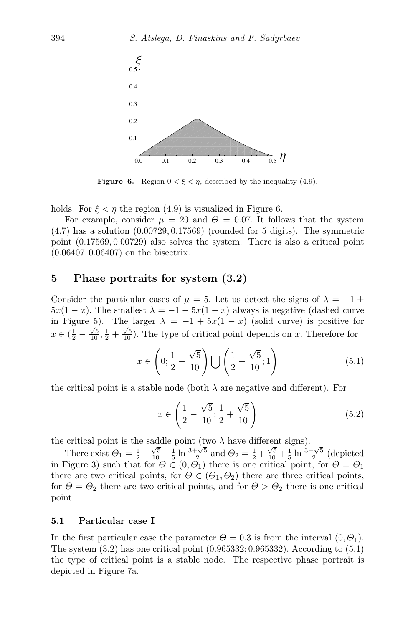<span id="page-9-0"></span>

**Figure 6.** Region  $0 < \xi < \eta$ , described by the inequality [\(4.9\)](#page-8-3).

holds. For  $\xi < \eta$  the region [\(4.9\)](#page-8-3) is visualized in Figure [6.](#page-9-0)

For example, consider  $\mu = 20$  and  $\Theta = 0.07$ . It follows that the system  $(4.7)$  has a solution  $(0.00729, 0.17569)$  (rounded for 5 digits). The symmetric point (0.17569, 0.00729) also solves the system. There is also a critical point (0.06407, 0.06407) on the bisectrix.

## 5 Phase portraits for system [\(3.2\)](#page-4-1)

Consider the particular cases of  $\mu = 5$ . Let us detect the signs of  $\lambda = -1 \pm \sqrt{3}$  $5x(1-x)$ . The smallest  $\lambda = -1 - 5x(1-x)$  always is negative (dashed curve in Figure [5\)](#page-7-0). The larger  $\lambda = -1 + 5x(1 - x)$  (solid curve) is positive for  $x \in (\frac{1}{2} - \frac{\sqrt{5}}{10}, \frac{1}{2} + \frac{\sqrt{5}}{10})$ . The type of critical point depends on x. Therefore for

$$
x \in \left(0; \frac{1}{2} - \frac{\sqrt{5}}{10}\right) \bigcup \left(\frac{1}{2} + \frac{\sqrt{5}}{10}; 1\right) \tag{5.1}
$$

the critical point is a stable node (both  $\lambda$  are negative and different). For

<span id="page-9-2"></span><span id="page-9-1"></span>
$$
x \in \left(\frac{1}{2} - \frac{\sqrt{5}}{10}; \frac{1}{2} + \frac{\sqrt{5}}{10}\right) \tag{5.2}
$$

the critical point is the saddle point (two  $\lambda$  have different signs).

There exist  $\Theta_1 = \frac{1}{2} - \frac{\sqrt{5}}{10} + \frac{1}{5} \ln \frac{3 + \sqrt{5}}{2}$  and  $\Theta_2 = \frac{1}{2} + \frac{\sqrt{5}}{10} + \frac{1}{5} \ln \frac{3 - \sqrt{5}}{2}$  (depicted in Figure [3\)](#page-6-0) such that for  $\Theta \in (0, \Theta_1)$  there is one critical point, for  $\Theta = \Theta_1$ there are two critical points, for  $\Theta \in (\Theta_1, \Theta_2)$  there are three critical points, for  $\Theta = \Theta_2$  there are two critical points, and for  $\Theta > \Theta_2$  there is one critical point.

#### 5.1 Particular case I

In the first particular case the parameter  $\Theta = 0.3$  is from the interval  $(0, \Theta_1)$ . The system  $(3.2)$  has one critical point  $(0.965332; 0.965332)$ . According to  $(5.1)$ the type of critical point is a stable node. The respective phase portrait is depicted in Figure [7a.](#page-10-0)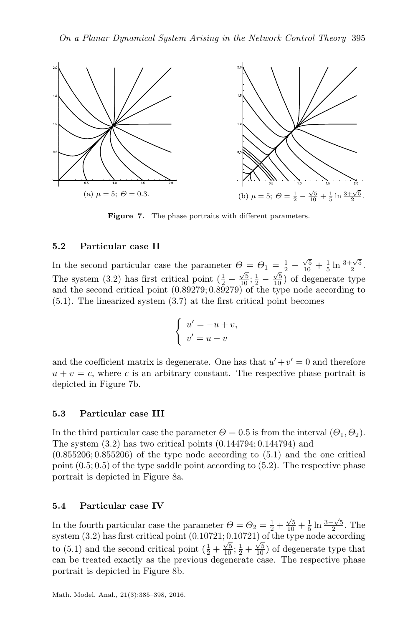<span id="page-10-0"></span>

<span id="page-10-1"></span>Figure 7. The phase portraits with different parameters.

#### 5.2 Particular case II

In the second particular case the parameter  $\Theta = \Theta_1 = \frac{1}{2} - \frac{\sqrt{5}}{10} + \frac{1}{5} \ln \frac{3+\sqrt{5}}{2}$ . The system [\(3.2\)](#page-4-1) has first critical point  $(\frac{1}{2} - \frac{\sqrt{5}}{10}; \frac{1}{2} - \frac{\sqrt{5}}{10})$  of degenerate type and the second critical point  $(0.89279; 0.89279)$  of the type node according to [\(5.1\)](#page-9-1). The linearized system [\(3.7\)](#page-6-1) at the first critical point becomes

$$
\begin{cases}\n u' = -u + v, \\
 v' = u - v\n\end{cases}
$$

and the coefficient matrix is degenerate. One has that  $u' + v' = 0$  and therefore  $u + v = c$ , where c is an arbitrary constant. The respective phase portrait is depicted in Figure [7b.](#page-10-1)

#### 5.3 Particular case III

In the third particular case the parameter  $\Theta = 0.5$  is from the interval  $(\Theta_1, \Theta_2)$ . The system  $(3.2)$  has two critical points  $(0.144794; 0.144794)$  and  $(0.855206; 0.855206)$  of the type node according to  $(5.1)$  and the one critical point  $(0.5; 0.5)$  of the type saddle point according to  $(5.2)$ . The respective phase portrait is depicted in Figure [8a.](#page-11-0)

#### 5.4 Particular case IV

In the fourth particular case the parameter  $\Theta = \Theta_2 = \frac{1}{2} + \frac{\sqrt{5}}{10} + \frac{1}{5} \ln \frac{3-\sqrt{5}}{2}$ . The system [\(3.2\)](#page-4-1) has first critical point  $(0.10721; 0.10721)$  of the type node according to [\(5.1\)](#page-9-1) and the second critical point  $(\frac{1}{2} + \frac{\sqrt{5}}{10}; \frac{1}{2} + \frac{\sqrt{5}}{10})$  of degenerate type that can be treated exactly as the previous degenerate case. The respective phase portrait is depicted in Figure [8b.](#page-11-1)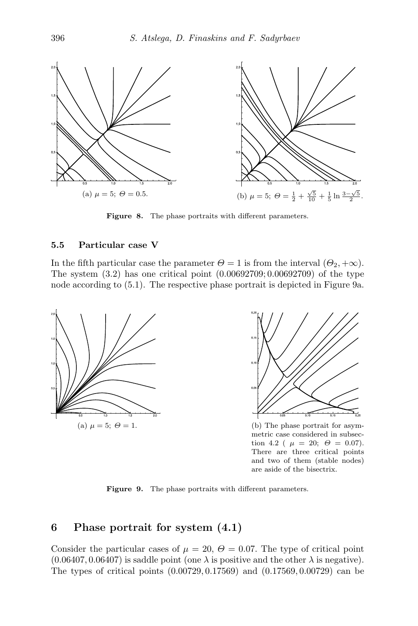<span id="page-11-0"></span>

Figure 8. The phase portraits with different parameters.

#### 5.5 Particular case V

In the fifth particular case the parameter  $\Theta = 1$  is from the interval  $(\Theta_2, +\infty)$ . The system [\(3.2\)](#page-4-1) has one critical point (0.00692709; 0.00692709) of the type node according to [\(5.1\)](#page-9-1). The respective phase portrait is depicted in Figure [9a.](#page-11-2)

<span id="page-11-2"></span>

<span id="page-11-3"></span><span id="page-11-1"></span>

(a)  $\mu = 5$ ;  $\Theta = 1$ . (b) The phase portrait for asymmetric case considered in subsec-tion [4.2](#page-8-4) (  $\mu = 20; \; \Theta = 0.07$ ). There are three critical points and two of them (stable nodes) are aside of the bisectrix.

Figure 9. The phase portraits with different parameters.

## 6 Phase portrait for system [\(4.1\)](#page-7-4)

Consider the particular cases of  $\mu = 20$ ,  $\Theta = 0.07$ . The type of critical point  $(0.06407, 0.06407)$  is saddle point (one  $\lambda$  is positive and the other  $\lambda$  is negative). The types of critical points (0.00729, 0.17569) and (0.17569, 0.00729) can be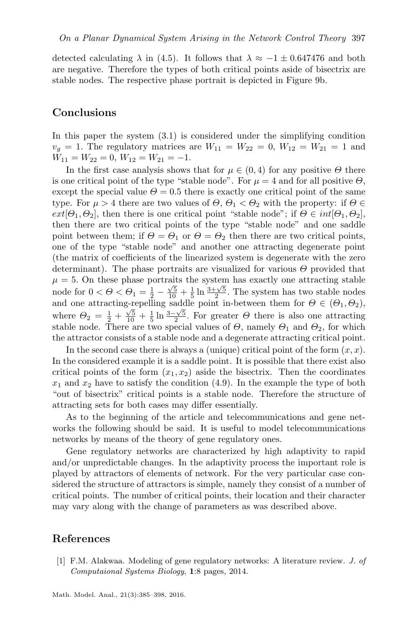detected calculating  $\lambda$  in [\(4.5\)](#page-8-5). It follows that  $\lambda \approx -1 \pm 0.647476$  and both are negative. Therefore the types of both critical points aside of bisectrix are stable nodes. The respective phase portrait is depicted in Figure [9b.](#page-11-3)

## **Conclusions**

In this paper the system [\(3.1\)](#page-4-0) is considered under the simplifying condition  $v_q = 1$ . The regulatory matrices are  $W_{11} = W_{22} = 0$ ,  $W_{12} = W_{21} = 1$  and  $W_{11} = W_{22} = 0, W_{12} = W_{21} = -1.$ 

In the first case analysis shows that for  $\mu \in (0, 4)$  for any positive  $\Theta$  there is one critical point of the type "stable node". For  $\mu = 4$  and for all positive  $\Theta$ , except the special value  $\Theta = 0.5$  there is exactly one critical point of the same type. For  $\mu > 4$  there are two values of  $\Theta$ ,  $\Theta_1 < \Theta_2$  with the property: if  $\Theta \in$  $ext[\Theta_1, \Theta_2]$ , then there is one critical point "stable node"; if  $\Theta \in int[\Theta_1, \Theta_2]$ , then there are two critical points of the type "stable node" and one saddle point between them; if  $\Theta = \Theta_1$  or  $\Theta = \Theta_2$  then there are two critical points, one of the type "stable node" and another one attracting degenerate point (the matrix of coefficients of the linearized system is degenerate with the zero determinant). The phase portraits are visualized for various  $\Theta$  provided that  $\mu = 5$ . On these phase portraits the system has exactly one attracting stable node for  $0 < \Theta < \Theta_1 = \frac{1}{2} - \frac{\sqrt{5}}{10} + \frac{1}{5} \ln \frac{3+\sqrt{5}}{2}$ . The system has two stable nodes and one attracting-repelling saddle point in-between them for  $\Theta \in (\Theta_1, \Theta_2)$ , where  $\Theta_2 = \frac{1}{2} + \frac{\sqrt{5}}{10} + \frac{1}{5} \ln \frac{3-\sqrt{5}}{2}$ . For greater  $\Theta$  there is also one attracting stable node. There are two special values of  $\Theta$ , namely  $\Theta_1$  and  $\Theta_2$ , for which the attractor consists of a stable node and a degenerate attracting critical point.

In the second case there is always a (unique) critical point of the form  $(x, x)$ . In the considered example it is a saddle point. It is possible that there exist also critical points of the form  $(x_1, x_2)$  aside the bisectrix. Then the coordinates  $x_1$  and  $x_2$  have to satisfy the condition [\(4.9\)](#page-8-3). In the example the type of both "out of bisectrix" critical points is a stable node. Therefore the structure of attracting sets for both cases may differ essentially.

As to the beginning of the article and telecommunications and gene networks the following should be said. It is useful to model telecommunications networks by means of the theory of gene regulatory ones.

Gene regulatory networks are characterized by high adaptivity to rapid and/or unpredictable changes. In the adaptivity process the important role is played by attractors of elements of network. For the very particular case considered the structure of attractors is simple, namely they consist of a number of critical points. The number of critical points, their location and their character may vary along with the change of parameters as was described above.

## References

<span id="page-12-0"></span>[1] F.M. Alakwaa. Modeling of gene regulatory networks: A literature review. J. of Computaional Systems Biology, 1:8 pages, 2014.